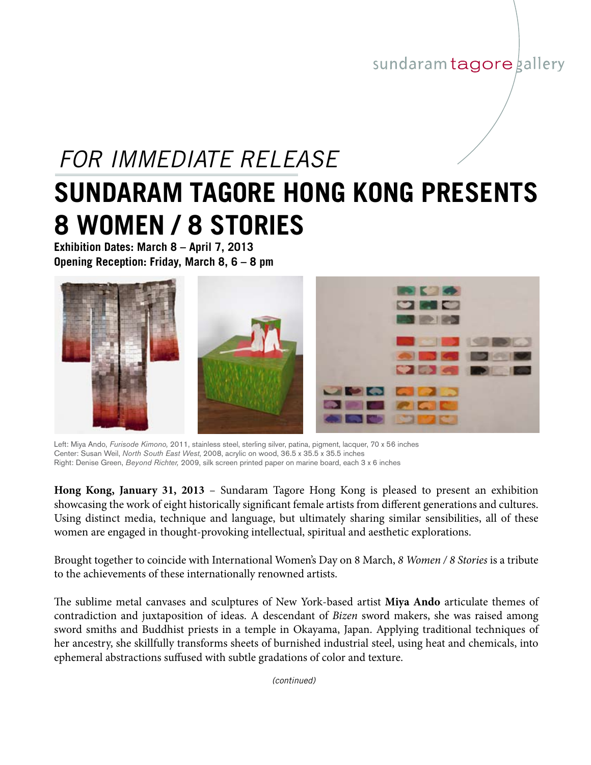## sundaram tagore gallery

## **SUNDARAM TAGORE HONG KONG PRESENTS 8 WOMEN / 8 STORIES** *FOR IMMEDIATE RELEASE*

**Exhibition Dates: March 8 – April 7, 2013 Opening Reception: Friday, March 8, 6 – 8 pm**



Left: Miya Ando, *Furisode Kimono,* 2011, stainless steel, sterling silver, patina, pigment, lacquer, 70 x 56 inches Center: Susan Weil, *North South East West*, 2008, acrylic on wood, 36.5 x 35.5 x 35.5 inches Right: Denise Green, *Beyond Richter,* 2009, silk screen printed paper on marine board, each 3 x 6 inches

**Hong Kong, January 31, 2013** – Sundaram Tagore Hong Kong is pleased to present an exhibition showcasing the work of eight historically significant female artists from different generations and cultures. Using distinct media, technique and language, but ultimately sharing similar sensibilities, all of these women are engaged in thought-provoking intellectual, spiritual and aesthetic explorations.

Brought together to coincide with International Women's Day on 8 March, *8 Women / 8 Stories* is a tribute to the achievements of these internationally renowned artists.

The sublime metal canvases and sculptures of New York-based artist **Miya Ando** articulate themes of contradiction and juxtaposition of ideas. A descendant of *Bizen* sword makers, she was raised among sword smiths and Buddhist priests in a temple in Okayama, Japan. Applying traditional techniques of her ancestry, she skillfully transforms sheets of burnished industrial steel, using heat and chemicals, into ephemeral abstractions suffused with subtle gradations of color and texture.

*(continued)*